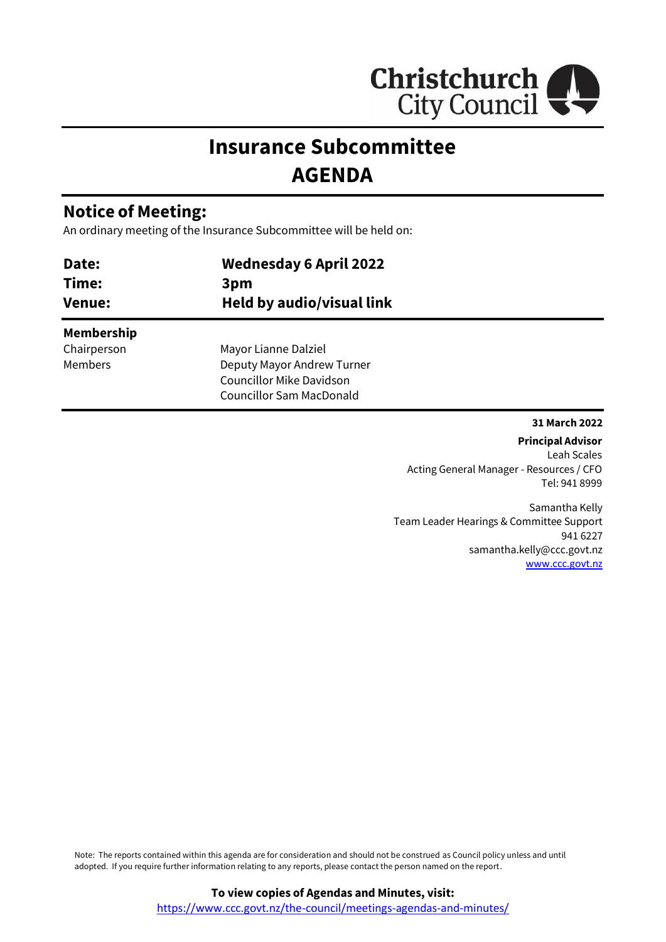

# **Insurance Subcommittee AGENDA**

# **Notice of Meeting:**

Members

An ordinary meeting of the Insurance Subcommittee will be held on:

| Date:             | <b>Wednesday 6 April 2022</b> |  |  |
|-------------------|-------------------------------|--|--|
| Time:             | 3pm                           |  |  |
| <b>Venue:</b>     | Held by audio/visual link     |  |  |
| <b>Membership</b> |                               |  |  |
| Chairperson       | Mayor Lianne Dalziel          |  |  |

Deputy Mayor Andrew Turner Councillor Mike Davidson Councillor Sam MacDonald

#### **31 March 2022**

**Principal Advisor** Leah Scales Acting General Manager - Resources / CFO Tel: 941 8999

Samantha Kelly Team Leader Hearings & Committee Support 941 6227 samantha.kelly@ccc.govt.nz [www.ccc.govt.nz](http://www.ccc.govt.nz/)

Note: The reports contained within this agenda are for consideration and should not be construed as Council policy unless and until adopted. If you require further information relating to any reports, please contact the person named on the report.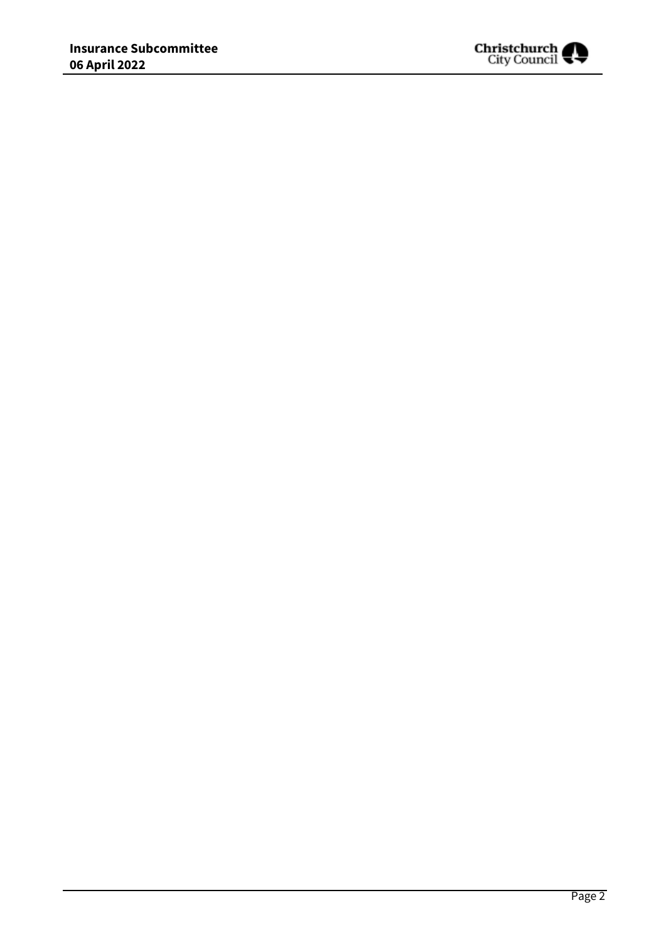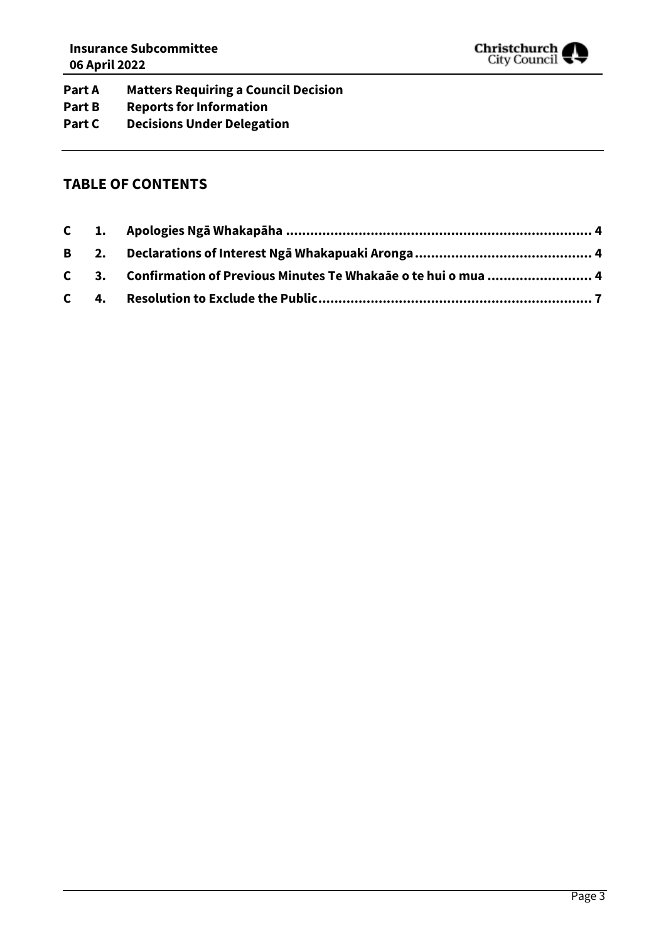

## **Part A Matters Requiring a Council Decision**

- **Part B Reports for Information**
- **Part C Decisions Under Delegation**

# **TABLE OF CONTENTS**

|  | C 3. Confirmation of Previous Minutes Te Whakaae o te hui o mua  4 |  |
|--|--------------------------------------------------------------------|--|
|  |                                                                    |  |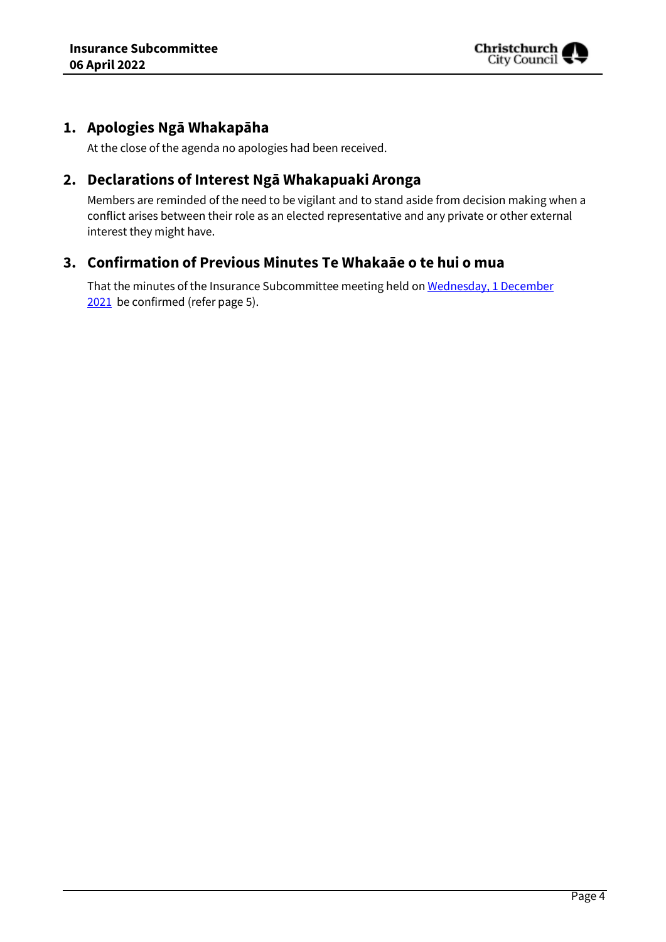

## <span id="page-3-0"></span>**1. Apologies Ngā Whakapāha**

At the close of the agenda no apologies had been received.

## <span id="page-3-1"></span>**2. Declarations of Interest Ngā Whakapuaki Aronga**

Members are reminded of the need to be vigilant and to stand aside from decision making when a conflict arises between their role as an elected representative and any private or other external interest they might have.

## <span id="page-3-2"></span>**3. Confirmation of Previous Minutes Te Whakaāe o te hui o mua**

That the minutes of the Insurance Subcommittee meeting held on Wednesday, 1 December [2021](../../../RedirectToInvalidFileName.aspx?FileName=INS_20211201_MIN_7352.PDF) be confirmed (refer pag[e 5\)](#page-4-0).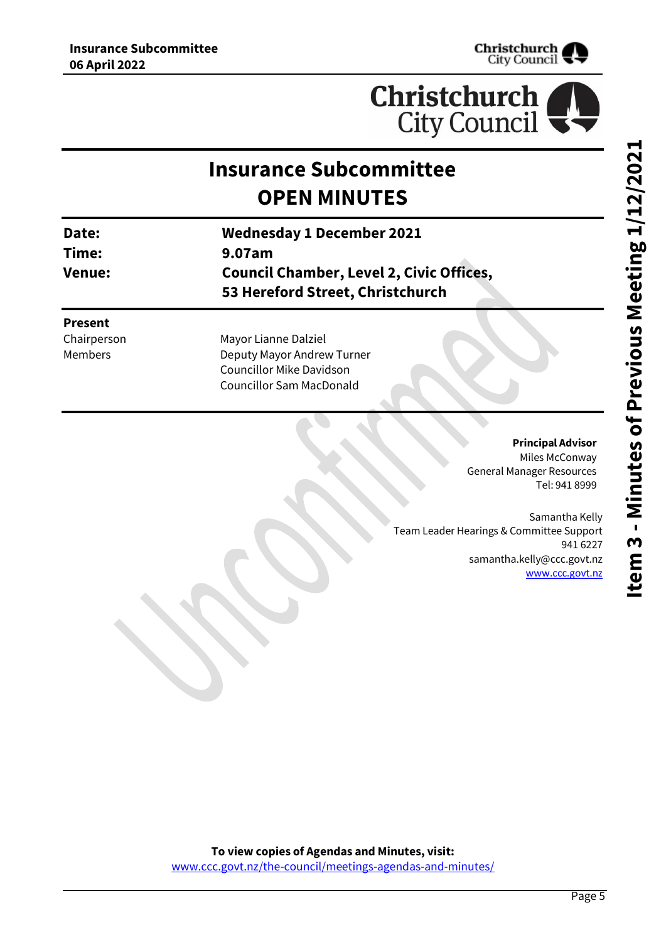



# **Insurance Subcommittee OPEN MINUTES**

<span id="page-4-0"></span>

| Date:  | <b>Wednesday 1 December 2021</b>                |  |  |  |
|--------|-------------------------------------------------|--|--|--|
| Time:  | 9.07am                                          |  |  |  |
| Venue: | <b>Council Chamber, Level 2, Civic Offices,</b> |  |  |  |
|        | 53 Hereford Street, Christchurch                |  |  |  |
|        |                                                 |  |  |  |

#### **Present**

Chairperson Members

Mayor Lianne Dalziel Deputy Mayor Andrew Turner Councillor Mike Davidson Councillor Sam MacDonald

#### **Principal Advisor**

Miles McConway General Manager Resources Tel: 941 8999

Samantha Kelly Team Leader Hearings & Committee Support 941 6227 samantha.kelly@ccc.govt.nz [www.ccc.govt.nz](http://www.ccc.govt.nz/)

**To view copies of Agendas and Minutes, visit:** [www.ccc.govt.nz/the-council/meetings-agendas-and-minutes/](https://www.ccc.govt.nz/the-council/meetings-agendas-and-minutes/)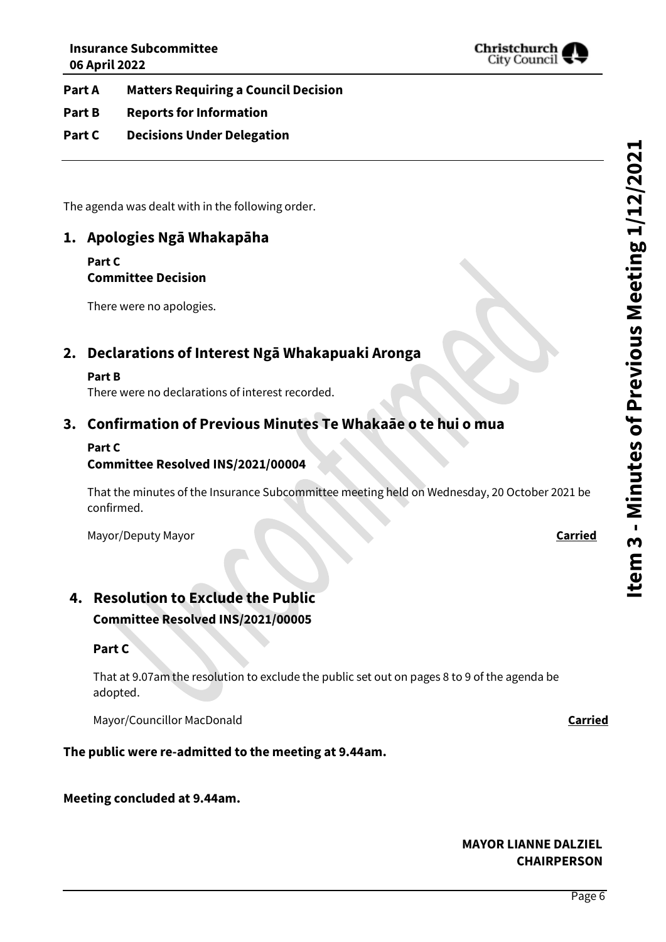

### **Part A Matters Requiring a Council Decision**

## **Part B Reports for Information**

**Part C Decisions Under Delegation**

The agenda was dealt with in the following order.

## **1. Apologies Ngā Whakapāha**

#### **Part C Committee Decision**

There were no apologies.

## **2. Declarations of Interest Ngā Whakapuaki Aronga**

#### **Part B**

There were no declarations of interest recorded.

## **3. Confirmation of Previous Minutes Te Whakaāe o te hui o mua**

#### **Part C**

## **Committee Resolved INS/2021/00004**

That the minutes of the Insurance Subcommittee meeting held on Wednesday, 20 October 2021 be confirmed.

Mayor/Deputy Mayor **Carried**

# **4. Resolution to Exclude the Public Committee Resolved INS/2021/00005**

#### **Part C**

That at 9.07am the resolution to exclude the public set out on pages 8 to 9 of the agenda be adopted.

Mayor/Councillor MacDonald **Carried**

**The public were re-admitted to the meeting at 9.44am.**

#### **Meeting concluded at 9.44am.**

### **MAYOR LIANNE DALZIEL CHAIRPERSON**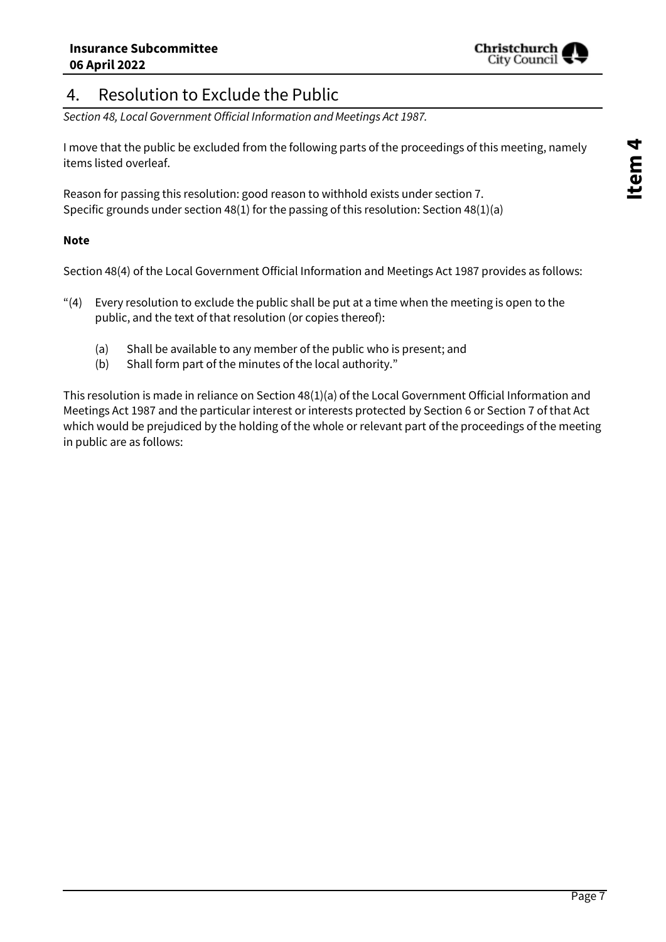# <span id="page-6-0"></span>4. Resolution to Exclude the Public

*Section 48, Local Government Official Information and Meetings Act 1987.*

I move that the public be excluded from the following parts of the proceedings of this meeting, namely items listed overleaf.

Reason for passing this resolution: good reason to withhold exists under section 7. Specific grounds under section 48(1) for the passing of this resolution: Section 48(1)(a)

#### **Note**

Section 48(4) of the Local Government Official Information and Meetings Act 1987 provides as follows:

- "(4) Every resolution to exclude the public shall be put at a time when the meeting is open to the public, and the text of that resolution (or copies thereof):
	- (a) Shall be available to any member of the public who is present; and
	- (b) Shall form part of the minutes of the local authority."

This resolution is made in reliance on Section 48(1)(a) of the Local Government Official Information and Meetings Act 1987 and the particular interest or interests protected by Section 6 or Section 7 of that Act which would be prejudiced by the holding of the whole or relevant part of the proceedings of the meeting in public are as follows: